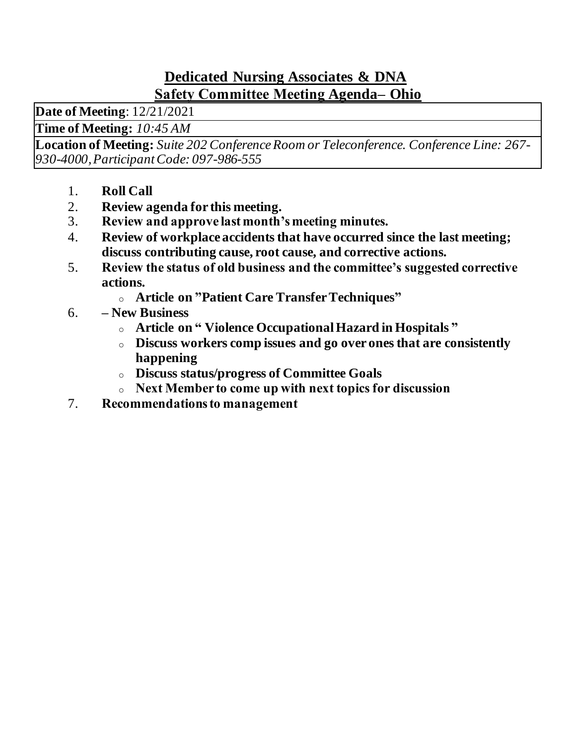### **Dedicated Nursing Associates & DNA Safety Committee Meeting Agenda– Ohio**

**Date of Meeting**: 12/21/2021

**Time of Meeting:** *10:45 AM*

**Location of Meeting:** *Suite 202 Conference Room or Teleconference. Conference Line: 267- 930-4000, Participant Code: 097-986-555*

- 1. **Roll Call**
- 2. **Review agenda for this meeting.**
- 3. **Review and approve last month's meeting minutes.**
- 4. **Review of workplace accidents that have occurred since the last meeting; discuss contributing cause, root cause, and corrective actions.**
- 5. **Review the status of old business and the committee's suggested corrective actions.**
	- <sup>o</sup> **Article on "Patient Care Transfer Techniques"**
- 6. **– New Business**
	- <sup>o</sup> **Article on " Violence Occupational Hazard in Hospitals "**
	- <sup>o</sup> **Discuss workers comp issues and go over ones that are consistently happening**
	- <sup>o</sup> **Discuss status/progress of Committee Goals**
	- <sup>o</sup> **Next Member to come up with next topics for discussion**
- 7. **Recommendations to management**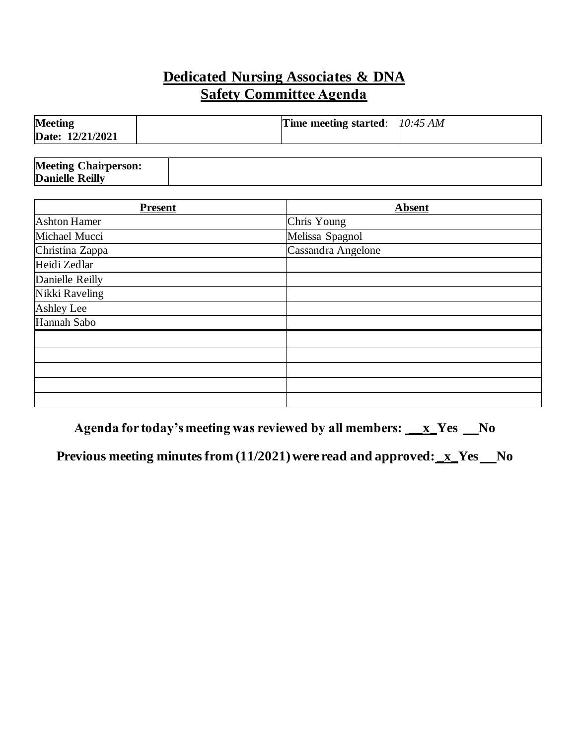## **Dedicated Nursing Associates & DNA Safety Committee Agenda**

| <b>Meeting</b>   | Time meeting started: $10:45 AM$ |  |
|------------------|----------------------------------|--|
| Date: 12/21/2021 |                                  |  |

| <b>Meeting Chairperson:</b> |  |
|-----------------------------|--|
| <b>Danielle Reilly</b>      |  |

| <b>Present</b>      | <b>Absent</b>      |
|---------------------|--------------------|
| <b>Ashton Hamer</b> | Chris Young        |
| Michael Mucci       | Melissa Spagnol    |
| Christina Zappa     | Cassandra Angelone |
| Heidi Zedlar        |                    |
| Danielle Reilly     |                    |
| Nikki Raveling      |                    |
| Ashley Lee          |                    |
| Hannah Sabo         |                    |
|                     |                    |
|                     |                    |
|                     |                    |
|                     |                    |
|                     |                    |

Agenda for today's meeting was reviewed by all members: **\_\_x\_Yes \_\_No** 

**Previous meeting minutes from (11/2021) were read and approved: <u>\_x</u>\_Yes \_\_No**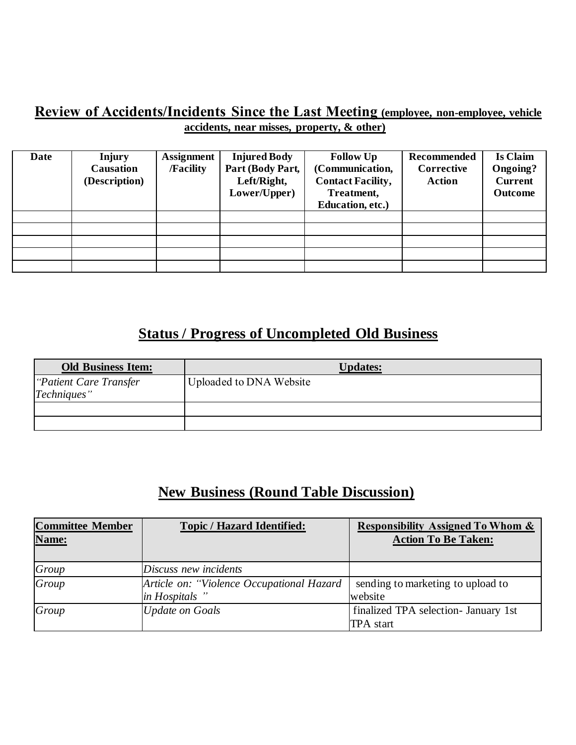#### **Review of Accidents/Incidents Since the Last Meeting (employee, non-employee, vehicle accidents, near misses, property, & other)**

| Date | <b>Injury</b><br><b>Causation</b><br>(Description) | <b>Assignment</b><br><b>/Facility</b> | <b>Injured Body</b><br>Part (Body Part,<br>Left/Right,<br>Lower/Upper) | <b>Follow Up</b><br>(Communication,<br><b>Contact Facility,</b><br>Treatment,<br>Education, etc.) | Recommended<br>Corrective<br><b>Action</b> | Is Claim<br><b>Ongoing?</b><br><b>Current</b><br><b>Outcome</b> |
|------|----------------------------------------------------|---------------------------------------|------------------------------------------------------------------------|---------------------------------------------------------------------------------------------------|--------------------------------------------|-----------------------------------------------------------------|
|      |                                                    |                                       |                                                                        |                                                                                                   |                                            |                                                                 |
|      |                                                    |                                       |                                                                        |                                                                                                   |                                            |                                                                 |
|      |                                                    |                                       |                                                                        |                                                                                                   |                                            |                                                                 |
|      |                                                    |                                       |                                                                        |                                                                                                   |                                            |                                                                 |
|      |                                                    |                                       |                                                                        |                                                                                                   |                                            |                                                                 |

# **Status / Progress of Uncompleted Old Business**

| <b>Old Business Item:</b> | <b>Updates:</b>         |
|---------------------------|-------------------------|
| "Patient Care Transfer"   | Uploaded to DNA Website |
| Techniques"               |                         |
|                           |                         |
|                           |                         |

# **New Business (Round Table Discussion)**

| <b>Committee Member</b> | <b>Topic / Hazard Identified:</b>          | <b>Responsibility Assigned To Whom &amp;</b> |
|-------------------------|--------------------------------------------|----------------------------------------------|
| Name:                   |                                            | <b>Action To Be Taken:</b>                   |
|                         |                                            |                                              |
| Group                   | Discuss new incidents                      |                                              |
| Group                   | Article on: "Violence Occupational Hazard" | sending to marketing to upload to            |
|                         | in Hospitals"                              | website                                      |
| Group                   | Update on Goals                            | finalized TPA selection- January 1st         |
|                         |                                            | <b>TPA</b> start                             |